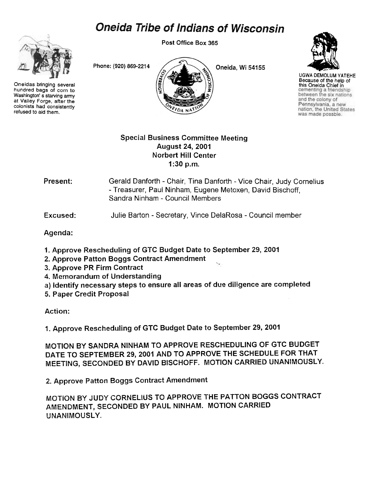## **Oneida Tribe of Indians of Wisconsin**

Post Office Box 365



hundred bags of corn to Washington's starving army at Valley Forge, after the colonists had consistently refused to aid them.

Phone: (920) 869-2214  $\bigcup$  Oneida, Wi 54155 Oneidas bringing several  $\begin{pmatrix} \frac{1}{2} & \frac{1}{2} \\ \frac{1}{2} & \frac{1}{2} \end{pmatrix}$  this Oneida Chief in<br>Washington's starving army



UGWA DEMOLUM YATEHE Because of the help of<br>this Oneida Chief in and the colony of Pennsylvania, a new nation, the United States was made possble.

## Special Business Committee Meeting August 24, 2001 Norbert Hill Center 1 :30 p.m.

Present: Gerald Danforth - Chair, Tina Danforth - Vice Chair, Judy Cornelius -Treasurer, Paul Ninham, Eugene Metoxen, David Bischoff, Sandra Ninham -Council Members

Excused: Julie Barton - Secretary, Vince DelaRosa - Council member

Agenda:

- 1. Approve Rescheduling of GTC Budget Date to September 29, 2001
- 2. Approve Patton Boggs Contract Amendment
- 3. Approve PR Firm Contract
- 4. Memorandum of Understanding
- a) Identify necessary steps to ensure all areas of due diligence are completed
- 5. Paper Credit Proposal

Action:

1. Approve Rescheduling of GTC Budget Date to September 29, 2001

MOTION BY SANDRA NINHAM TO APPROVE RESCHEDULING OF GTC BUDGET DATE TO SEPTEMBER 29,2001 AND TO APPROVE THE SCHEDULE FOR THAT MEETING, SECONDED BY DAVID BISCHOFF. MOTION CARRIED UNANIMOUSLY.

2. Approve Patton Boggs Contract Amendment

MOTiON BY JUDY CORNELIUS TO APPROVE THE PATTON BOGGS CONTRACT AMENDMENT, SECONDED BY PAUL NINHAM. MOTION CARRIED UNANIMOUSLY.